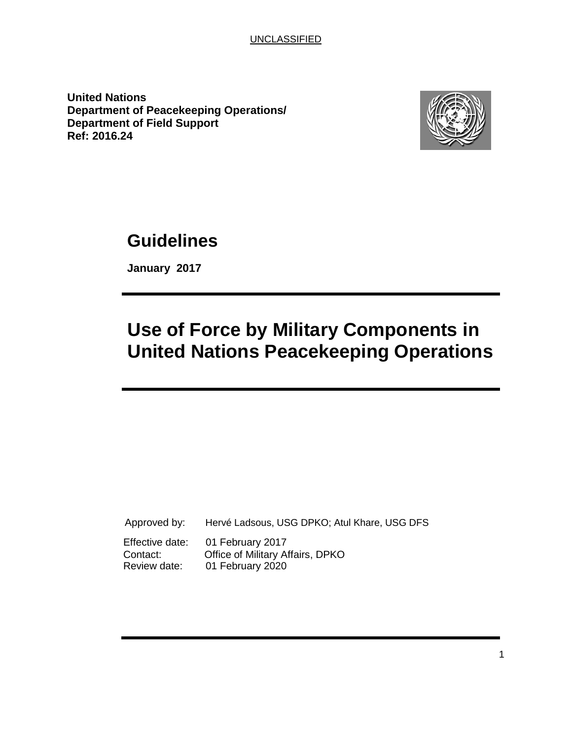**United Nations Department of Peacekeeping Operations/ Department of Field Support Ref: 2016.24**



# **Guidelines**

**January 2017**

# **Use of Force by Military Components in United Nations Peacekeeping Operations**

| Approved by:    | Hervé Ladsous, USG DPKO; Atul Khare, USG DFS |
|-----------------|----------------------------------------------|
| Effective date: | 01 February 2017                             |
| Contact:        | Office of Military Affairs, DPKO             |
| Review date:    | 01 February 2020                             |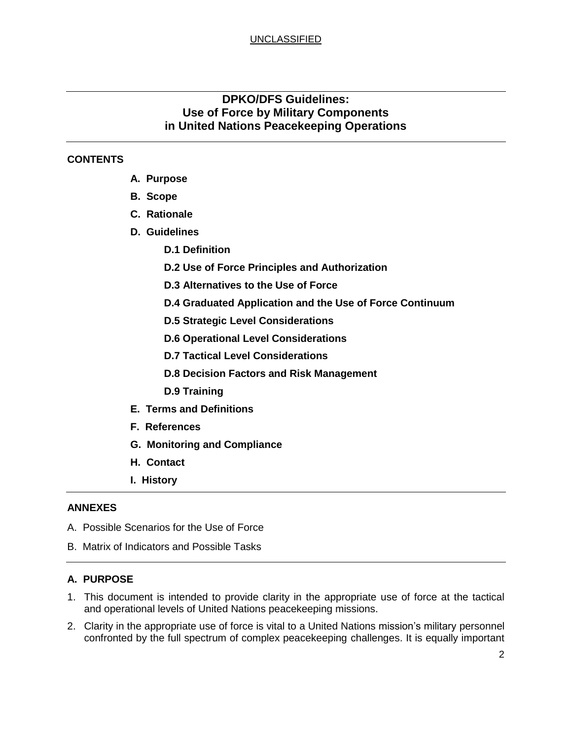# **DPKO/DFS Guidelines: Use of Force by Military Components in United Nations Peacekeeping Operations**

## **CONTENTS**

- **A. Purpose**
- **B. Scope**
- **C. Rationale**
- **D. Guidelines**
	- **D.1 Definition**
	- **D.2 Use of Force Principles and Authorization**
	- **D.3 Alternatives to the Use of Force**
	- **D.4 Graduated Application and the Use of Force Continuum**
	- **D.5 Strategic Level Considerations**
	- **D.6 Operational Level Considerations**
	- **D.7 Tactical Level Considerations**
	- **D.8 Decision Factors and Risk Management**
	- **D.9 Training**
- **E. Terms and Definitions**
- **F. References**
- **G. Monitoring and Compliance**
- **H. Contact**
- **I. History**

#### **ANNEXES**

- A. Possible Scenarios for the Use of Force
- B. Matrix of Indicators and Possible Tasks

#### **A. PURPOSE**

- 1. This document is intended to provide clarity in the appropriate use of force at the tactical and operational levels of United Nations peacekeeping missions.
- 2. Clarity in the appropriate use of force is vital to a United Nations mission's military personnel confronted by the full spectrum of complex peacekeeping challenges. It is equally important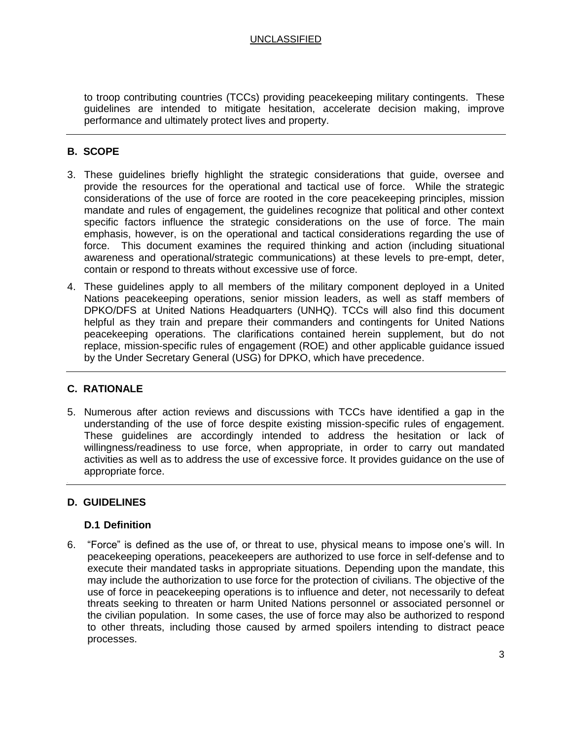to troop contributing countries (TCCs) providing peacekeeping military contingents. These guidelines are intended to mitigate hesitation, accelerate decision making, improve performance and ultimately protect lives and property.

### **B. SCOPE**

- 3. These guidelines briefly highlight the strategic considerations that guide, oversee and provide the resources for the operational and tactical use of force. While the strategic considerations of the use of force are rooted in the core peacekeeping principles, mission mandate and rules of engagement, the guidelines recognize that political and other context specific factors influence the strategic considerations on the use of force. The main emphasis, however, is on the operational and tactical considerations regarding the use of force. This document examines the required thinking and action (including situational awareness and operational/strategic communications) at these levels to pre-empt, deter, contain or respond to threats without excessive use of force.
- 4. These guidelines apply to all members of the military component deployed in a United Nations peacekeeping operations, senior mission leaders, as well as staff members of DPKO/DFS at United Nations Headquarters (UNHQ). TCCs will also find this document helpful as they train and prepare their commanders and contingents for United Nations peacekeeping operations. The clarifications contained herein supplement, but do not replace, mission-specific rules of engagement (ROE) and other applicable guidance issued by the Under Secretary General (USG) for DPKO, which have precedence.

#### **C. RATIONALE**

5. Numerous after action reviews and discussions with TCCs have identified a gap in the understanding of the use of force despite existing mission-specific rules of engagement. These guidelines are accordingly intended to address the hesitation or lack of willingness/readiness to use force, when appropriate, in order to carry out mandated activities as well as to address the use of excessive force. It provides guidance on the use of appropriate force.

#### **D. GUIDELINES**

#### **D.1 Definition**

6. "Force" is defined as the use of, or threat to use, physical means to impose one's will. In peacekeeping operations, peacekeepers are authorized to use force in self-defense and to execute their mandated tasks in appropriate situations. Depending upon the mandate, this may include the authorization to use force for the protection of civilians. The objective of the use of force in peacekeeping operations is to influence and deter, not necessarily to defeat threats seeking to threaten or harm United Nations personnel or associated personnel or the civilian population. In some cases, the use of force may also be authorized to respond to other threats, including those caused by armed spoilers intending to distract peace processes.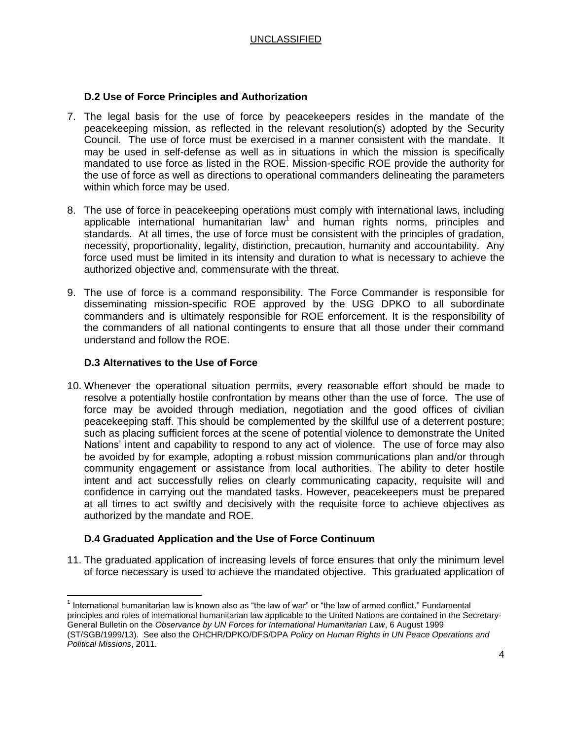#### **D.2 Use of Force Principles and Authorization**

- 7. The legal basis for the use of force by peacekeepers resides in the mandate of the peacekeeping mission, as reflected in the relevant resolution(s) adopted by the Security Council. The use of force must be exercised in a manner consistent with the mandate. It may be used in self-defense as well as in situations in which the mission is specifically mandated to use force as listed in the ROE. Mission-specific ROE provide the authority for the use of force as well as directions to operational commanders delineating the parameters within which force may be used.
- 8. The use of force in peacekeeping operations must comply with international laws, including applicable international humanitarian law<sup>1</sup> and human rights norms, principles and standards. At all times, the use of force must be consistent with the principles of gradation, necessity, proportionality, legality, distinction, precaution, humanity and accountability. Any force used must be limited in its intensity and duration to what is necessary to achieve the authorized objective and, commensurate with the threat.
- 9. The use of force is a command responsibility. The Force Commander is responsible for disseminating mission-specific ROE approved by the USG DPKO to all subordinate commanders and is ultimately responsible for ROE enforcement. It is the responsibility of the commanders of all national contingents to ensure that all those under their command understand and follow the ROE.

#### **D.3 Alternatives to the Use of Force**

10. Whenever the operational situation permits, every reasonable effort should be made to resolve a potentially hostile confrontation by means other than the use of force. The use of force may be avoided through mediation, negotiation and the good offices of civilian peacekeeping staff. This should be complemented by the skillful use of a deterrent posture; such as placing sufficient forces at the scene of potential violence to demonstrate the United Nations' intent and capability to respond to any act of violence. The use of force may also be avoided by for example, adopting a robust mission communications plan and/or through community engagement or assistance from local authorities. The ability to deter hostile intent and act successfully relies on clearly communicating capacity, requisite will and confidence in carrying out the mandated tasks. However, peacekeepers must be prepared at all times to act swiftly and decisively with the requisite force to achieve objectives as authorized by the mandate and ROE.

#### **D.4 Graduated Application and the Use of Force Continuum**

11. The graduated application of increasing levels of force ensures that only the minimum level of force necessary is used to achieve the mandated objective. This graduated application of

 $\overline{a}$  $1$  International humanitarian law is known also as "the law of war" or "the law of armed conflict." Fundamental principles and rules of international humanitarian law applicable to the United Nations are contained in the Secretary-General Bulletin on the *Observance by UN Forces for International Humanitarian Law*, 6 August 1999 (ST/SGB/1999/13). See also the OHCHR/DPKO/DFS/DPA *Policy on Human Rights in UN Peace Operations and Political Missions*, 2011.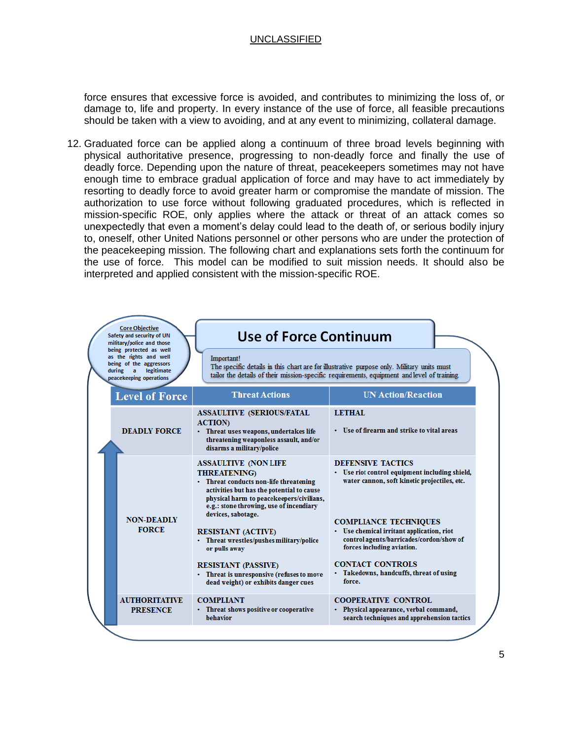force ensures that excessive force is avoided, and contributes to minimizing the loss of, or damage to, life and property. In every instance of the use of force, all feasible precautions should be taken with a view to avoiding, and at any event to minimizing, collateral damage.

12. Graduated force can be applied along a continuum of three broad levels beginning with physical authoritative presence, progressing to non-deadly force and finally the use of deadly force. Depending upon the nature of threat, peacekeepers sometimes may not have enough time to embrace gradual application of force and may have to act immediately by resorting to deadly force to avoid greater harm or compromise the mandate of mission. The authorization to use force without following graduated procedures, which is reflected in mission-specific ROE, only applies where the attack or threat of an attack comes so unexpectedly that even a moment's delay could lead to the death of, or serious bodily injury to, oneself, other United Nations personnel or other persons who are under the protection of the peacekeeping mission. The following chart and explanations sets forth the continuum for the use of force. This model can be modified to suit mission needs. It should also be interpreted and applied consistent with the mission-specific ROE.

| <b>Core Objective</b><br>Safety and security of UN<br>military/police and those<br>being protected as well<br>as the rights and well<br>being of the aggressors<br>legitimate<br>during<br>$\overline{a}$<br>peacekeeping operations |                                         | <b>Use of Force Continuum</b>                                                                                                                                                                                                                         |                                                                                                                                                                                                     |  |
|--------------------------------------------------------------------------------------------------------------------------------------------------------------------------------------------------------------------------------------|-----------------------------------------|-------------------------------------------------------------------------------------------------------------------------------------------------------------------------------------------------------------------------------------------------------|-----------------------------------------------------------------------------------------------------------------------------------------------------------------------------------------------------|--|
|                                                                                                                                                                                                                                      |                                         | Important!<br>The specific details in this chart are for illustrative purpose only. Military units must<br>tailor the details of their mission-specific requirements, equipment and level of training.                                                |                                                                                                                                                                                                     |  |
|                                                                                                                                                                                                                                      | <b>Level of Force</b>                   | <b>Threat Actions</b>                                                                                                                                                                                                                                 | <b>UN Action/Reaction</b>                                                                                                                                                                           |  |
|                                                                                                                                                                                                                                      | <b>DEADLY FORCE</b>                     | <b>ASSAULTIVE (SERIOUS/FATAL</b><br><b>ACTION</b><br>• Threat uses weapons, undertakes life<br>threatening weaponless assault, and/or<br>disarms a military/police                                                                                    | <b>LETHAL</b><br>• Use of firearm and strike to vital areas                                                                                                                                         |  |
|                                                                                                                                                                                                                                      | <b>NON-DEADLY</b>                       | <b>ASSAULTIVE (NON LIFE</b><br><b>THREATENING</b><br>• Threat conducts non-life threatening<br>activities but has the potential to cause<br>physical harm to peacekeepers/civilians,<br>e.g.: stone throwing, use of incendiary<br>devices, sabotage. | <b>DEFENSIVE TACTICS</b><br>• Use riot control equipment including shield,<br>water cannon, soft kinetic projectiles, etc.<br><b>COMPLIANCE TECHNIQUES</b>                                          |  |
|                                                                                                                                                                                                                                      | <b>FORCE</b>                            | <b>RESISTANT (ACTIVE)</b><br>• Threat wrestles/pushes military/police<br>or pulls away<br><b>RESISTANT (PASSIVE)</b><br>• Threat is unresponsive (refuses to move<br>dead weight) or exhibits danger cues                                             | • Use chemical irritant application, riot<br>control agents/barricades/cordon/show of<br>forces including aviation.<br><b>CONTACT CONTROLS</b><br>· Takedowns, handcuffs, threat of using<br>force. |  |
|                                                                                                                                                                                                                                      | <b>AUTHORITATIVE</b><br><b>PRESENCE</b> | <b>COMPLIANT</b><br>• Threat shows positive or cooperative<br>behavior                                                                                                                                                                                | <b>COOPERATIVE CONTROL</b><br>• Physical appearance, verbal command,<br>search techniques and apprehension tactics                                                                                  |  |
|                                                                                                                                                                                                                                      |                                         |                                                                                                                                                                                                                                                       |                                                                                                                                                                                                     |  |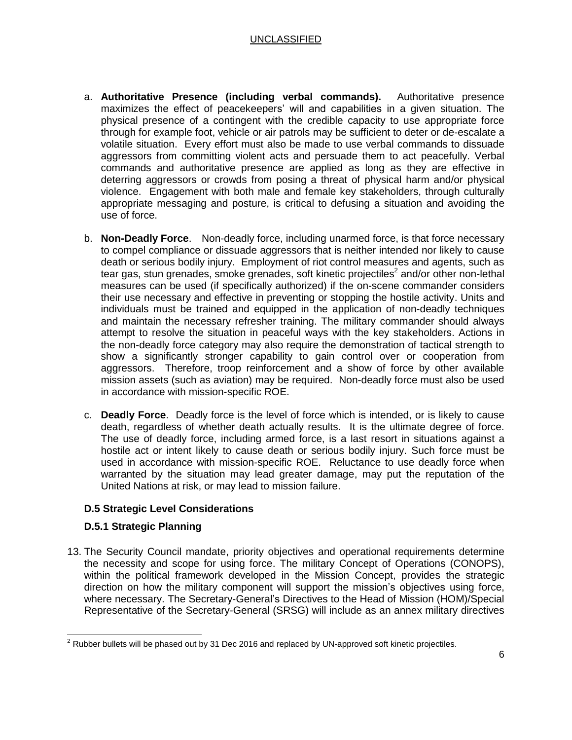- a. **Authoritative Presence (including verbal commands).** Authoritative presence maximizes the effect of peacekeepers' will and capabilities in a given situation. The physical presence of a contingent with the credible capacity to use appropriate force through for example foot, vehicle or air patrols may be sufficient to deter or de-escalate a volatile situation. Every effort must also be made to use verbal commands to dissuade aggressors from committing violent acts and persuade them to act peacefully. Verbal commands and authoritative presence are applied as long as they are effective in deterring aggressors or crowds from posing a threat of physical harm and/or physical violence. Engagement with both male and female key stakeholders, through culturally appropriate messaging and posture, is critical to defusing a situation and avoiding the use of force.
- b. **Non-Deadly Force**. Non-deadly force, including unarmed force, is that force necessary to compel compliance or dissuade aggressors that is neither intended nor likely to cause death or serious bodily injury. Employment of riot control measures and agents, such as tear gas, stun grenades, smoke grenades, soft kinetic projectiles<sup>2</sup> and/or other non-lethal measures can be used (if specifically authorized) if the on-scene commander considers their use necessary and effective in preventing or stopping the hostile activity. Units and individuals must be trained and equipped in the application of non-deadly techniques and maintain the necessary refresher training. The military commander should always attempt to resolve the situation in peaceful ways with the key stakeholders. Actions in the non-deadly force category may also require the demonstration of tactical strength to show a significantly stronger capability to gain control over or cooperation from aggressors. Therefore, troop reinforcement and a show of force by other available mission assets (such as aviation) may be required. Non-deadly force must also be used in accordance with mission-specific ROE.
- c. **Deadly Force**. Deadly force is the level of force which is intended, or is likely to cause death, regardless of whether death actually results. It is the ultimate degree of force. The use of deadly force, including armed force, is a last resort in situations against a hostile act or intent likely to cause death or serious bodily injury. Such force must be used in accordance with mission-specific ROE. Reluctance to use deadly force when warranted by the situation may lead greater damage, may put the reputation of the United Nations at risk, or may lead to mission failure.

# **D.5 Strategic Level Considerations**

#### **D.5.1 Strategic Planning**

13. The Security Council mandate, priority objectives and operational requirements determine the necessity and scope for using force. The military Concept of Operations (CONOPS), within the political framework developed in the Mission Concept, provides the strategic direction on how the military component will support the mission's objectives using force, where necessary. The Secretary-General's Directives to the Head of Mission (HOM)/Special Representative of the Secretary-General (SRSG) will include as an annex military directives

 $\overline{\phantom{a}}$  $^2$  Rubber bullets will be phased out by 31 Dec 2016 and replaced by UN-approved soft kinetic projectiles.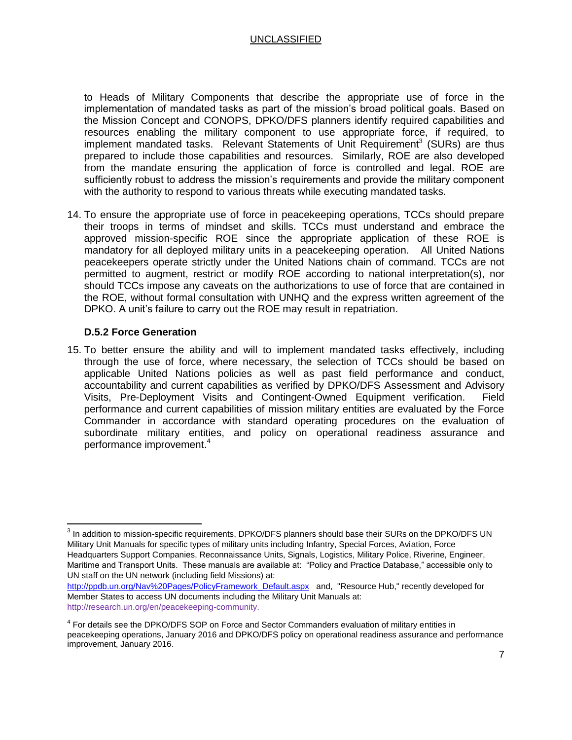to Heads of Military Components that describe the appropriate use of force in the implementation of mandated tasks as part of the mission's broad political goals. Based on the Mission Concept and CONOPS, DPKO/DFS planners identify required capabilities and resources enabling the military component to use appropriate force, if required, to implement mandated tasks. Relevant Statements of Unit Requirement<sup>3</sup> (SURs) are thus prepared to include those capabilities and resources. Similarly, ROE are also developed from the mandate ensuring the application of force is controlled and legal. ROE are sufficiently robust to address the mission's requirements and provide the military component with the authority to respond to various threats while executing mandated tasks.

14. To ensure the appropriate use of force in peacekeeping operations, TCCs should prepare their troops in terms of mindset and skills. TCCs must understand and embrace the approved mission-specific ROE since the appropriate application of these ROE is mandatory for all deployed military units in a peacekeeping operation. All United Nations peacekeepers operate strictly under the United Nations chain of command. TCCs are not permitted to augment, restrict or modify ROE according to national interpretation(s), nor should TCCs impose any caveats on the authorizations to use of force that are contained in the ROE, without formal consultation with UNHQ and the express written agreement of the DPKO. A unit's failure to carry out the ROE may result in repatriation.

#### **D.5.2 Force Generation**

 $\overline{\phantom{a}}$ 

15. To better ensure the ability and will to implement mandated tasks effectively, including through the use of force, where necessary, the selection of TCCs should be based on applicable United Nations policies as well as past field performance and conduct, accountability and current capabilities as verified by DPKO/DFS Assessment and Advisory Visits, Pre-Deployment Visits and Contingent-Owned Equipment verification. Field performance and current capabilities of mission military entities are evaluated by the Force Commander in accordance with standard operating procedures on the evaluation of subordinate military entities, and policy on operational readiness assurance and performance improvement. 4

 $^3$  In addition to mission-specific requirements, DPKO/DFS planners should base their SURs on the DPKO/DFS UN Military Unit Manuals for specific types of military units including Infantry, Special Forces, Aviation, Force Headquarters Support Companies, Reconnaissance Units, Signals, Logistics, Military Police, Riverine, Engineer, Maritime and Transport Units. These manuals are available at: "Policy and Practice Database," accessible only to UN staff on the UN network (including field Missions) at:

[http://ppdb.un.org/Nav%20Pages/PolicyFramework\\_Default.aspx](http://ppdb.un.org/Nav%20Pages/PolicyFramework_Default.aspx) and, "Resource Hub," recently developed for Member States to access UN documents including the Military Unit Manuals at: [http://research.un.org/en/peacekeeping-community.](http://research.un.org/en/peacekeeping-community)

<sup>&</sup>lt;sup>4</sup> For details see the DPKO/DFS SOP on Force and Sector Commanders evaluation of military entities in peacekeeping operations, January 2016 and DPKO/DFS policy on operational readiness assurance and performance improvement, January 2016.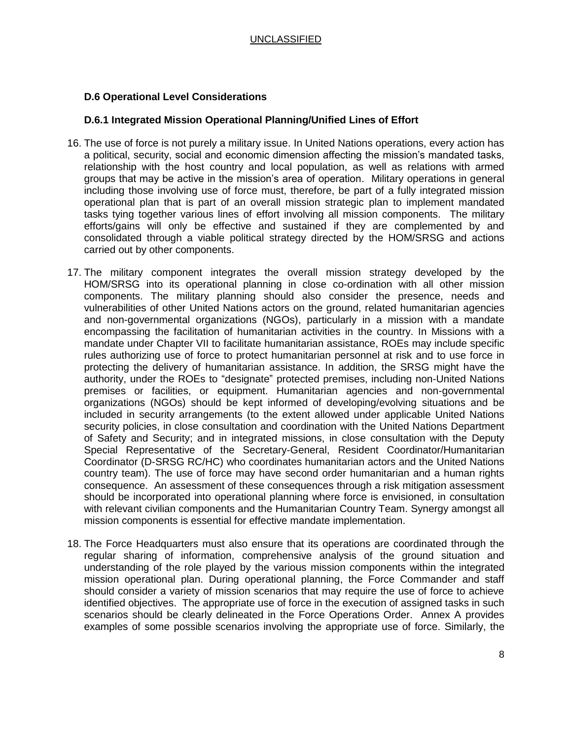#### **D.6 Operational Level Considerations**

#### **D.6.1 Integrated Mission Operational Planning/Unified Lines of Effort**

- 16. The use of force is not purely a military issue. In United Nations operations, every action has a political, security, social and economic dimension affecting the mission's mandated tasks, relationship with the host country and local population, as well as relations with armed groups that may be active in the mission's area of operation. Military operations in general including those involving use of force must, therefore, be part of a fully integrated mission operational plan that is part of an overall mission strategic plan to implement mandated tasks tying together various lines of effort involving all mission components. The military efforts/gains will only be effective and sustained if they are complemented by and consolidated through a viable political strategy directed by the HOM/SRSG and actions carried out by other components.
- 17. The military component integrates the overall mission strategy developed by the HOM/SRSG into its operational planning in close co-ordination with all other mission components. The military planning should also consider the presence, needs and vulnerabilities of other United Nations actors on the ground, related humanitarian agencies and non-governmental organizations (NGOs), particularly in a mission with a mandate encompassing the facilitation of humanitarian activities in the country. In Missions with a mandate under Chapter VII to facilitate humanitarian assistance, ROEs may include specific rules authorizing use of force to protect humanitarian personnel at risk and to use force in protecting the delivery of humanitarian assistance. In addition, the SRSG might have the authority, under the ROEs to "designate" protected premises, including non-United Nations premises or facilities, or equipment. Humanitarian agencies and non-governmental organizations (NGOs) should be kept informed of developing/evolving situations and be included in security arrangements (to the extent allowed under applicable United Nations security policies, in close consultation and coordination with the United Nations Department of Safety and Security; and in integrated missions, in close consultation with the Deputy Special Representative of the Secretary-General, Resident Coordinator/Humanitarian Coordinator (D-SRSG RC/HC) who coordinates humanitarian actors and the United Nations country team). The use of force may have second order humanitarian and a human rights consequence. An assessment of these consequences through a risk mitigation assessment should be incorporated into operational planning where force is envisioned, in consultation with relevant civilian components and the Humanitarian Country Team. Synergy amongst all mission components is essential for effective mandate implementation.
- 18. The Force Headquarters must also ensure that its operations are coordinated through the regular sharing of information, comprehensive analysis of the ground situation and understanding of the role played by the various mission components within the integrated mission operational plan. During operational planning, the Force Commander and staff should consider a variety of mission scenarios that may require the use of force to achieve identified objectives. The appropriate use of force in the execution of assigned tasks in such scenarios should be clearly delineated in the Force Operations Order. Annex A provides examples of some possible scenarios involving the appropriate use of force. Similarly, the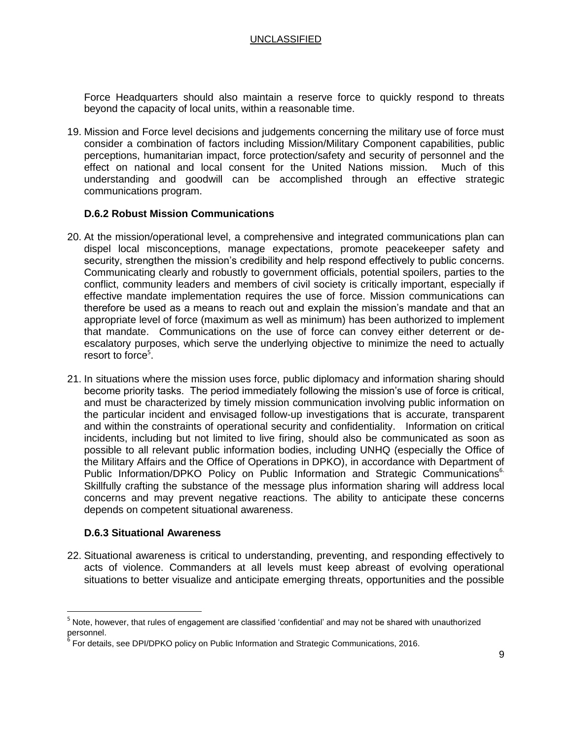Force Headquarters should also maintain a reserve force to quickly respond to threats beyond the capacity of local units, within a reasonable time.

19. Mission and Force level decisions and judgements concerning the military use of force must consider a combination of factors including Mission/Military Component capabilities, public perceptions, humanitarian impact, force protection/safety and security of personnel and the effect on national and local consent for the United Nations mission. Much of this understanding and goodwill can be accomplished through an effective strategic communications program.

#### **D.6.2 Robust Mission Communications**

- 20. At the mission/operational level, a comprehensive and integrated communications plan can dispel local misconceptions, manage expectations, promote peacekeeper safety and security, strengthen the mission's credibility and help respond effectively to public concerns. Communicating clearly and robustly to government officials, potential spoilers, parties to the conflict, community leaders and members of civil society is critically important, especially if effective mandate implementation requires the use of force. Mission communications can therefore be used as a means to reach out and explain the mission's mandate and that an appropriate level of force (maximum as well as minimum) has been authorized to implement that mandate. Communications on the use of force can convey either deterrent or deescalatory purposes, which serve the underlying objective to minimize the need to actually resort to force<sup>5</sup>.
- 21. In situations where the mission uses force, public diplomacy and information sharing should become priority tasks. The period immediately following the mission's use of force is critical, and must be characterized by timely mission communication involving public information on the particular incident and envisaged follow-up investigations that is accurate, transparent and within the constraints of operational security and confidentiality. Information on critical incidents, including but not limited to live firing, should also be communicated as soon as possible to all relevant public information bodies, including UNHQ (especially the Office of the Military Affairs and the Office of Operations in DPKO), in accordance with Department of Public Information/DPKO Policy on Public Information and Strategic Communications<sup>6.</sup> Skillfully crafting the substance of the message plus information sharing will address local concerns and may prevent negative reactions. The ability to anticipate these concerns depends on competent situational awareness.

#### **D.6.3 Situational Awareness**

 $\overline{\phantom{a}}$ 

22. Situational awareness is critical to understanding, preventing, and responding effectively to acts of violence. Commanders at all levels must keep abreast of evolving operational situations to better visualize and anticipate emerging threats, opportunities and the possible

<sup>&</sup>lt;sup>5</sup> Note, however, that rules of engagement are classified 'confidential' and may not be shared with unauthorized personnel.

<sup>&</sup>lt;sup>6</sup> For details, see DPI/DPKO policy on Public Information and Strategic Communications, 2016.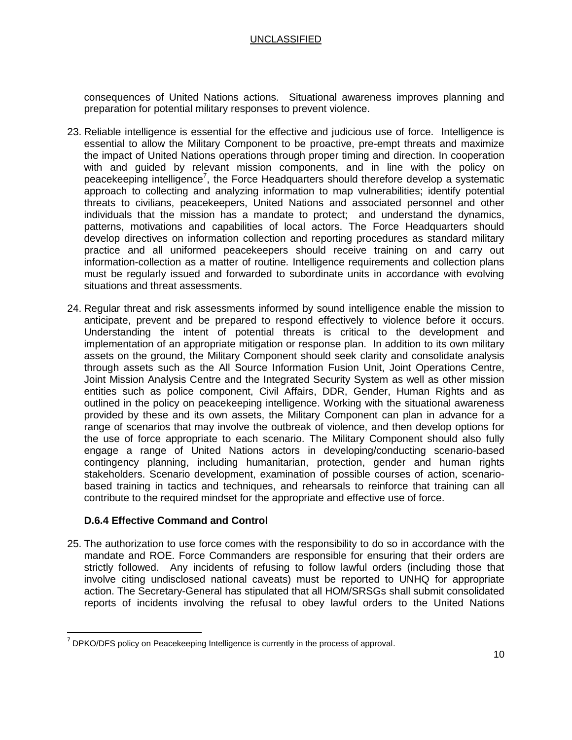consequences of United Nations actions. Situational awareness improves planning and preparation for potential military responses to prevent violence.

- 23. Reliable intelligence is essential for the effective and judicious use of force. Intelligence is essential to allow the Military Component to be proactive, pre-empt threats and maximize the impact of United Nations operations through proper timing and direction. In cooperation with and guided by relevant mission components, and in line with the policy on peacekeeping intelligence<sup>7</sup>, the Force Headquarters should therefore develop a systematic approach to collecting and analyzing information to map vulnerabilities; identify potential threats to civilians, peacekeepers, United Nations and associated personnel and other individuals that the mission has a mandate to protect; and understand the dynamics, patterns, motivations and capabilities of local actors. The Force Headquarters should develop directives on information collection and reporting procedures as standard military practice and all uniformed peacekeepers should receive training on and carry out information-collection as a matter of routine. Intelligence requirements and collection plans must be regularly issued and forwarded to subordinate units in accordance with evolving situations and threat assessments.
- 24. Regular threat and risk assessments informed by sound intelligence enable the mission to anticipate, prevent and be prepared to respond effectively to violence before it occurs. Understanding the intent of potential threats is critical to the development and implementation of an appropriate mitigation or response plan. In addition to its own military assets on the ground, the Military Component should seek clarity and consolidate analysis through assets such as the All Source Information Fusion Unit, Joint Operations Centre, Joint Mission Analysis Centre and the Integrated Security System as well as other mission entities such as police component, Civil Affairs, DDR, Gender, Human Rights and as outlined in the policy on peacekeeping intelligence. Working with the situational awareness provided by these and its own assets, the Military Component can plan in advance for a range of scenarios that may involve the outbreak of violence, and then develop options for the use of force appropriate to each scenario. The Military Component should also fully engage a range of United Nations actors in developing/conducting scenario-based contingency planning, including humanitarian, protection, gender and human rights stakeholders. Scenario development, examination of possible courses of action, scenariobased training in tactics and techniques, and rehearsals to reinforce that training can all contribute to the required mindset for the appropriate and effective use of force.

# **D.6.4 Effective Command and Control**

 $\overline{\phantom{a}}$ 

25. The authorization to use force comes with the responsibility to do so in accordance with the mandate and ROE. Force Commanders are responsible for ensuring that their orders are strictly followed. Any incidents of refusing to follow lawful orders (including those that involve citing undisclosed national caveats) must be reported to UNHQ for appropriate action. The Secretary-General has stipulated that all HOM/SRSGs shall submit consolidated reports of incidents involving the refusal to obey lawful orders to the United Nations

 $<sup>7</sup>$  DPKO/DFS policy on Peacekeeping Intelligence is currently in the process of approval.</sup>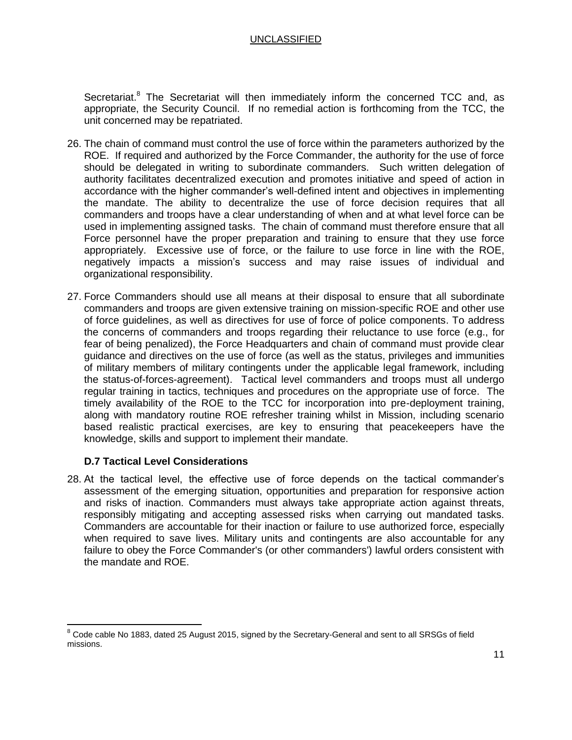Secretariat.<sup>8</sup> The Secretariat will then immediately inform the concerned TCC and, as appropriate, the Security Council. If no remedial action is forthcoming from the TCC, the unit concerned may be repatriated.

- 26. The chain of command must control the use of force within the parameters authorized by the ROE. If required and authorized by the Force Commander, the authority for the use of force should be delegated in writing to subordinate commanders. Such written delegation of authority facilitates decentralized execution and promotes initiative and speed of action in accordance with the higher commander's well-defined intent and objectives in implementing the mandate. The ability to decentralize the use of force decision requires that all commanders and troops have a clear understanding of when and at what level force can be used in implementing assigned tasks. The chain of command must therefore ensure that all Force personnel have the proper preparation and training to ensure that they use force appropriately. Excessive use of force, or the failure to use force in line with the ROE, negatively impacts a mission's success and may raise issues of individual and organizational responsibility.
- 27. Force Commanders should use all means at their disposal to ensure that all subordinate commanders and troops are given extensive training on mission-specific ROE and other use of force guidelines, as well as directives for use of force of police components. To address the concerns of commanders and troops regarding their reluctance to use force (e.g., for fear of being penalized), the Force Headquarters and chain of command must provide clear guidance and directives on the use of force (as well as the status, privileges and immunities of military members of military contingents under the applicable legal framework, including the status-of-forces-agreement). Tactical level commanders and troops must all undergo regular training in tactics, techniques and procedures on the appropriate use of force. The timely availability of the ROE to the TCC for incorporation into pre-deployment training, along with mandatory routine ROE refresher training whilst in Mission, including scenario based realistic practical exercises, are key to ensuring that peacekeepers have the knowledge, skills and support to implement their mandate.

#### **D.7 Tactical Level Considerations**

 $\overline{a}$ 

28. At the tactical level, the effective use of force depends on the tactical commander's assessment of the emerging situation, opportunities and preparation for responsive action and risks of inaction. Commanders must always take appropriate action against threats, responsibly mitigating and accepting assessed risks when carrying out mandated tasks. Commanders are accountable for their inaction or failure to use authorized force, especially when required to save lives. Military units and contingents are also accountable for any failure to obey the Force Commander's (or other commanders') lawful orders consistent with the mandate and ROE.

 $8$  Code cable No 1883, dated 25 August 2015, signed by the Secretary-General and sent to all SRSGs of field missions.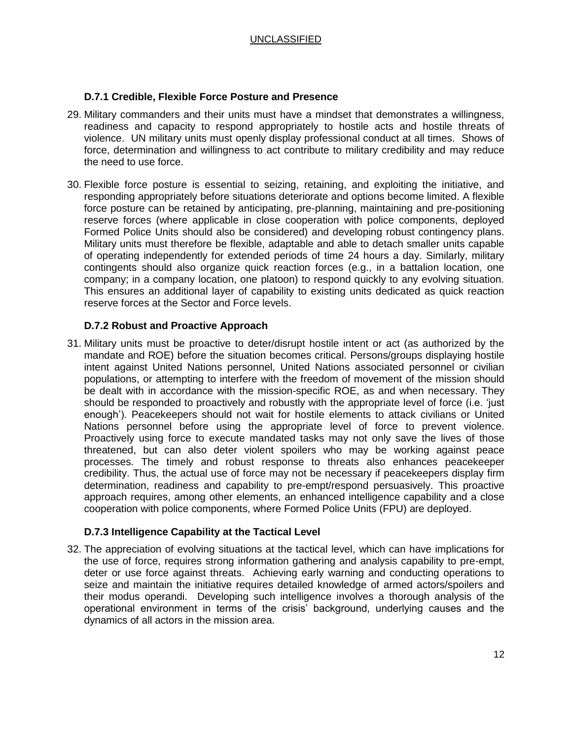#### **D.7.1 Credible, Flexible Force Posture and Presence**

- 29. Military commanders and their units must have a mindset that demonstrates a willingness, readiness and capacity to respond appropriately to hostile acts and hostile threats of violence. UN military units must openly display professional conduct at all times. Shows of force, determination and willingness to act contribute to military credibility and may reduce the need to use force.
- 30. Flexible force posture is essential to seizing, retaining, and exploiting the initiative, and responding appropriately before situations deteriorate and options become limited. A flexible force posture can be retained by anticipating, pre-planning, maintaining and pre-positioning reserve forces (where applicable in close cooperation with police components, deployed Formed Police Units should also be considered) and developing robust contingency plans. Military units must therefore be flexible, adaptable and able to detach smaller units capable of operating independently for extended periods of time 24 hours a day. Similarly, military contingents should also organize quick reaction forces (e.g., in a battalion location, one company; in a company location, one platoon) to respond quickly to any evolving situation. This ensures an additional layer of capability to existing units dedicated as quick reaction reserve forces at the Sector and Force levels.

#### **D.7.2 Robust and Proactive Approach**

31. Military units must be proactive to deter/disrupt hostile intent or act (as authorized by the mandate and ROE) before the situation becomes critical. Persons/groups displaying hostile intent against United Nations personnel, United Nations associated personnel or civilian populations, or attempting to interfere with the freedom of movement of the mission should be dealt with in accordance with the mission-specific ROE, as and when necessary. They should be responded to proactively and robustly with the appropriate level of force (i.e. 'just enough'). Peacekeepers should not wait for hostile elements to attack civilians or United Nations personnel before using the appropriate level of force to prevent violence. Proactively using force to execute mandated tasks may not only save the lives of those threatened, but can also deter violent spoilers who may be working against peace processes. The timely and robust response to threats also enhances peacekeeper credibility. Thus, the actual use of force may not be necessary if peacekeepers display firm determination, readiness and capability to pre-empt/respond persuasively. This proactive approach requires, among other elements, an enhanced intelligence capability and a close cooperation with police components, where Formed Police Units (FPU) are deployed.

#### **D.7.3 Intelligence Capability at the Tactical Level**

32. The appreciation of evolving situations at the tactical level, which can have implications for the use of force, requires strong information gathering and analysis capability to pre-empt, deter or use force against threats. Achieving early warning and conducting operations to seize and maintain the initiative requires detailed knowledge of armed actors/spoilers and their modus operandi. Developing such intelligence involves a thorough analysis of the operational environment in terms of the crisis' background, underlying causes and the dynamics of all actors in the mission area.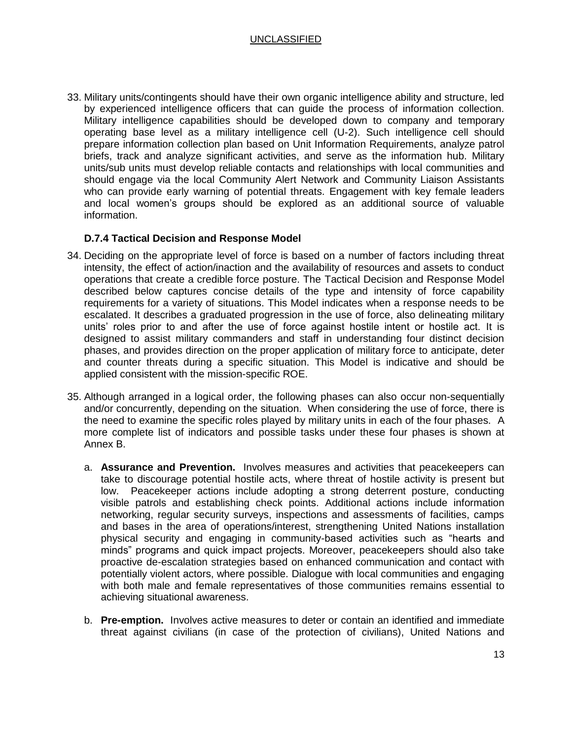33. Military units/contingents should have their own organic intelligence ability and structure, led by experienced intelligence officers that can guide the process of information collection. Military intelligence capabilities should be developed down to company and temporary operating base level as a military intelligence cell (U-2). Such intelligence cell should prepare information collection plan based on Unit Information Requirements, analyze patrol briefs, track and analyze significant activities, and serve as the information hub. Military units/sub units must develop reliable contacts and relationships with local communities and should engage via the local Community Alert Network and Community Liaison Assistants who can provide early warning of potential threats. Engagement with key female leaders and local women's groups should be explored as an additional source of valuable information.

## **D.7.4 Tactical Decision and Response Model**

- 34. Deciding on the appropriate level of force is based on a number of factors including threat intensity, the effect of action/inaction and the availability of resources and assets to conduct operations that create a credible force posture. The Tactical Decision and Response Model described below captures concise details of the type and intensity of force capability requirements for a variety of situations. This Model indicates when a response needs to be escalated. It describes a graduated progression in the use of force, also delineating military units' roles prior to and after the use of force against hostile intent or hostile act. It is designed to assist military commanders and staff in understanding four distinct decision phases, and provides direction on the proper application of military force to anticipate, deter and counter threats during a specific situation. This Model is indicative and should be applied consistent with the mission-specific ROE.
- 35. Although arranged in a logical order, the following phases can also occur non-sequentially and/or concurrently, depending on the situation. When considering the use of force, there is the need to examine the specific roles played by military units in each of the four phases. A more complete list of indicators and possible tasks under these four phases is shown at Annex B.
	- a. **Assurance and Prevention.** Involves measures and activities that peacekeepers can take to discourage potential hostile acts, where threat of hostile activity is present but low. Peacekeeper actions include adopting a strong deterrent posture, conducting visible patrols and establishing check points. Additional actions include information networking, regular security surveys, inspections and assessments of facilities, camps and bases in the area of operations/interest, strengthening United Nations installation physical security and engaging in community-based activities such as "hearts and minds" programs and quick impact projects. Moreover, peacekeepers should also take proactive de-escalation strategies based on enhanced communication and contact with potentially violent actors, where possible. Dialogue with local communities and engaging with both male and female representatives of those communities remains essential to achieving situational awareness.
	- b. **Pre-emption.** Involves active measures to deter or contain an identified and immediate threat against civilians (in case of the protection of civilians), United Nations and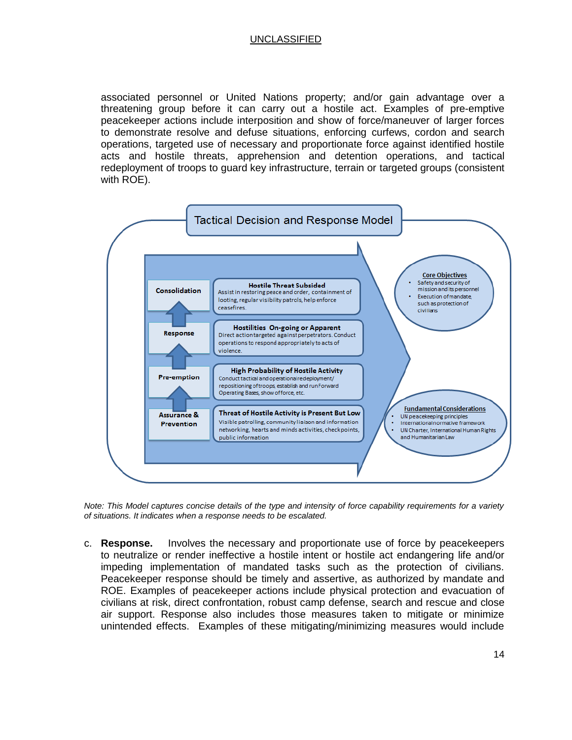associated personnel or United Nations property; and/or gain advantage over a threatening group before it can carry out a hostile act. Examples of pre-emptive peacekeeper actions include interposition and show of force/maneuver of larger forces to demonstrate resolve and defuse situations, enforcing curfews, cordon and search operations, targeted use of necessary and proportionate force against identified hostile acts and hostile threats, apprehension and detention operations, and tactical redeployment of troops to guard key infrastructure, terrain or targeted groups (consistent with ROE).



*Note: This Model captures concise details of the type and intensity of force capability requirements for a variety of situations. It indicates when a response needs to be escalated.*

c. **Response.** Involves the necessary and proportionate use of force by peacekeepers to neutralize or render ineffective a hostile intent or hostile act endangering life and/or impeding implementation of mandated tasks such as the protection of civilians. Peacekeeper response should be timely and assertive, as authorized by mandate and ROE. Examples of peacekeeper actions include physical protection and evacuation of civilians at risk, direct confrontation, robust camp defense, search and rescue and close air support. Response also includes those measures taken to mitigate or minimize unintended effects. Examples of these mitigating/minimizing measures would include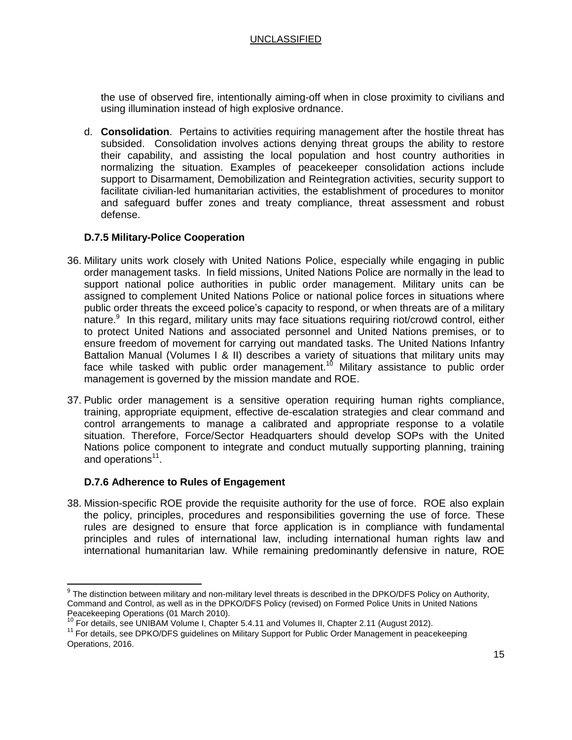the use of observed fire, intentionally aiming-off when in close proximity to civilians and using illumination instead of high explosive ordnance.

d. **Consolidation**. Pertains to activities requiring management after the hostile threat has subsided. Consolidation involves actions denying threat groups the ability to restore their capability, and assisting the local population and host country authorities in normalizing the situation. Examples of peacekeeper consolidation actions include support to Disarmament, Demobilization and Reintegration activities, security support to facilitate civilian-led humanitarian activities, the establishment of procedures to monitor and safeguard buffer zones and treaty compliance, threat assessment and robust defense.

#### **D.7.5 Military-Police Cooperation**

- 36. Military units work closely with United Nations Police, especially while engaging in public order management tasks. In field missions, United Nations Police are normally in the lead to support national police authorities in public order management. Military units can be assigned to complement United Nations Police or national police forces in situations where public order threats the exceed police's capacity to respond, or when threats are of a military nature.<sup>9</sup> In this regard, military units may face situations requiring riot/crowd control, either to protect United Nations and associated personnel and United Nations premises, or to ensure freedom of movement for carrying out mandated tasks. The United Nations Infantry Battalion Manual (Volumes I & II) describes a variety of situations that military units may face while tasked with public order management.<sup>10</sup> Military assistance to public order management is governed by the mission mandate and ROE.
- 37. Public order management is a sensitive operation requiring human rights compliance, training, appropriate equipment, effective de-escalation strategies and clear command and control arrangements to manage a calibrated and appropriate response to a volatile situation. Therefore, Force/Sector Headquarters should develop SOPs with the United Nations police component to integrate and conduct mutually supporting planning, training and operations<sup>11</sup>.

#### **D.7.6 Adherence to Rules of Engagement**

 $\overline{\phantom{a}}$ 

38. Mission-specific ROE provide the requisite authority for the use of force. ROE also explain the policy, principles, procedures and responsibilities governing the use of force. These rules are designed to ensure that force application is in compliance with fundamental principles and rules of international law, including international human rights law and international humanitarian law. While remaining predominantly defensive in nature, ROE

 $^9$  The distinction between military and non-military level threats is described in the DPKO/DFS Policy on Authority, Command and Control, as well as in the DPKO/DFS Policy (revised) on Formed Police Units in United Nations Peacekeeping Operations (01 March 2010).

<sup>&</sup>lt;sup>10</sup> For details, see UNIBAM Volume I, Chapter 5.4.11 and Volumes II, Chapter 2.11 (August 2012).

<sup>&</sup>lt;sup>11</sup> For details, see DPKO/DFS guidelines on Military Support for Public Order Management in peacekeeping Operations, 2016.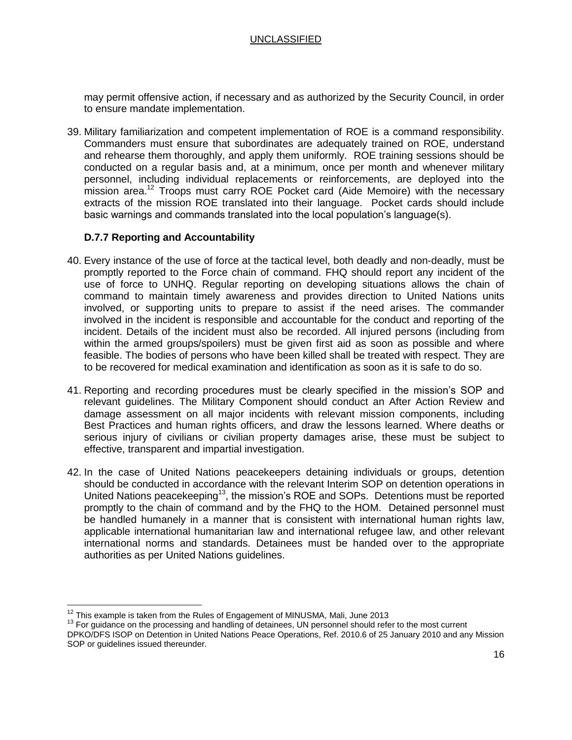may permit offensive action, if necessary and as authorized by the Security Council, in order to ensure mandate implementation.

39. Military familiarization and competent implementation of ROE is a command responsibility. Commanders must ensure that subordinates are adequately trained on ROE, understand and rehearse them thoroughly, and apply them uniformly. ROE training sessions should be conducted on a regular basis and, at a minimum, once per month and whenever military personnel, including individual replacements or reinforcements, are deployed into the mission area. <sup>12</sup> Troops must carry ROE Pocket card (Aide Memoire) with the necessary extracts of the mission ROE translated into their language. Pocket cards should include basic warnings and commands translated into the local population's language(s).

#### **D.7.7 Reporting and Accountability**

- 40. Every instance of the use of force at the tactical level, both deadly and non-deadly, must be promptly reported to the Force chain of command. FHQ should report any incident of the use of force to UNHQ. Regular reporting on developing situations allows the chain of command to maintain timely awareness and provides direction to United Nations units involved, or supporting units to prepare to assist if the need arises. The commander involved in the incident is responsible and accountable for the conduct and reporting of the incident. Details of the incident must also be recorded. All injured persons (including from within the armed groups/spoilers) must be given first aid as soon as possible and where feasible. The bodies of persons who have been killed shall be treated with respect. They are to be recovered for medical examination and identification as soon as it is safe to do so.
- 41. Reporting and recording procedures must be clearly specified in the mission's SOP and relevant guidelines. The Military Component should conduct an After Action Review and damage assessment on all major incidents with relevant mission components, including Best Practices and human rights officers, and draw the lessons learned. Where deaths or serious injury of civilians or civilian property damages arise, these must be subject to effective, transparent and impartial investigation.
- 42. In the case of United Nations peacekeepers detaining individuals or groups, detention should be conducted in accordance with the relevant Interim SOP on detention operations in United Nations peacekeeping<sup>13</sup>, the mission's ROE and SOPs. Detentions must be reported promptly to the chain of command and by the FHQ to the HOM. Detained personnel must be handled humanely in a manner that is consistent with international human rights law, applicable international humanitarian law and international refugee law, and other relevant international norms and standards. Detainees must be handed over to the appropriate authorities as per United Nations guidelines.

 $\overline{a}$  $12$  This example is taken from the Rules of Engagement of MINUSMA, Mali, June 2013

<sup>&</sup>lt;sup>13</sup> For guidance on the processing and handling of detainees, UN personnel should refer to the most current DPKO/DFS ISOP on Detention in United Nations Peace Operations, Ref. 2010.6 of 25 January 2010 and any Mission SOP or guidelines issued thereunder.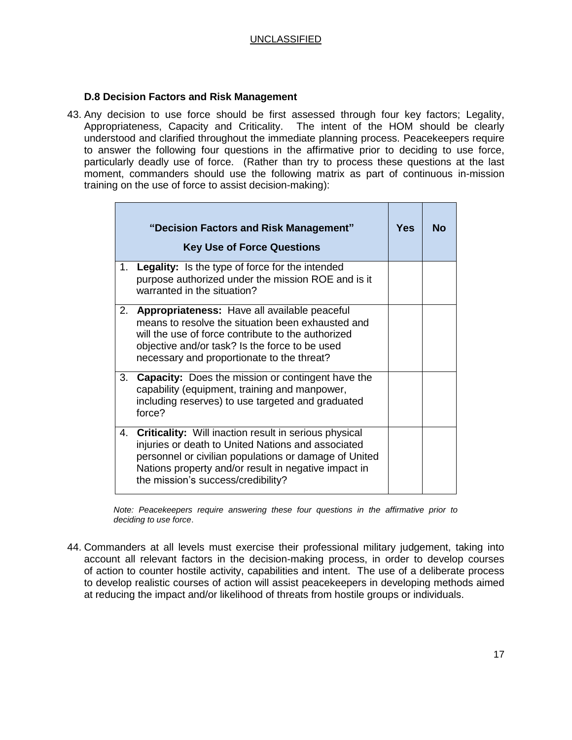#### **D.8 Decision Factors and Risk Management**

43. Any decision to use force should be first assessed through four key factors; Legality, Appropriateness, Capacity and Criticality. The intent of the HOM should be clearly understood and clarified throughout the immediate planning process. Peacekeepers require to answer the following four questions in the affirmative prior to deciding to use force, particularly deadly use of force. (Rather than try to process these questions at the last moment, commanders should use the following matrix as part of continuous in-mission training on the use of force to assist decision-making):

|    | "Decision Factors and Risk Management"<br><b>Key Use of Force Questions</b>                                                                                                                                                                                               | Yes | Nο |
|----|---------------------------------------------------------------------------------------------------------------------------------------------------------------------------------------------------------------------------------------------------------------------------|-----|----|
|    | 1. Legality: Is the type of force for the intended<br>purpose authorized under the mission ROE and is it<br>warranted in the situation?                                                                                                                                   |     |    |
|    | 2. <b>Appropriateness:</b> Have all available peaceful<br>means to resolve the situation been exhausted and<br>will the use of force contribute to the authorized<br>objective and/or task? Is the force to be used<br>necessary and proportionate to the threat?         |     |    |
| 3. | <b>Capacity:</b> Does the mission or contingent have the<br>capability (equipment, training and manpower,<br>including reserves) to use targeted and graduated<br>force?                                                                                                  |     |    |
| 4. | <b>Criticality:</b> Will inaction result in serious physical<br>injuries or death to United Nations and associated<br>personnel or civilian populations or damage of United<br>Nations property and/or result in negative impact in<br>the mission's success/credibility? |     |    |

*Note: Peacekeepers require answering these four questions in the affirmative prior to deciding to use force*.

44. Commanders at all levels must exercise their professional military judgement, taking into account all relevant factors in the decision-making process, in order to develop courses of action to counter hostile activity, capabilities and intent. The use of a deliberate process to develop realistic courses of action will assist peacekeepers in developing methods aimed at reducing the impact and/or likelihood of threats from hostile groups or individuals.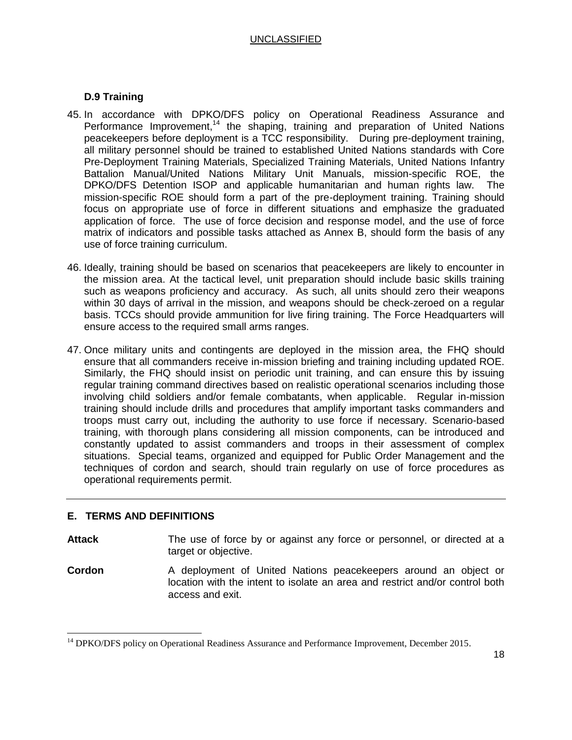### **D.9 Training**

- 45. In accordance with DPKO/DFS policy on Operational Readiness Assurance and Performance Improvement,<sup>14</sup> the shaping, training and preparation of United Nations peacekeepers before deployment is a TCC responsibility. During pre-deployment training, all military personnel should be trained to established United Nations standards with Core Pre-Deployment Training Materials, Specialized Training Materials, United Nations Infantry Battalion Manual/United Nations Military Unit Manuals, mission-specific ROE, the DPKO/DFS Detention ISOP and applicable humanitarian and human rights law. The mission-specific ROE should form a part of the pre-deployment training. Training should focus on appropriate use of force in different situations and emphasize the graduated application of force. The use of force decision and response model, and the use of force matrix of indicators and possible tasks attached as Annex B, should form the basis of any use of force training curriculum.
- 46. Ideally, training should be based on scenarios that peacekeepers are likely to encounter in the mission area. At the tactical level, unit preparation should include basic skills training such as weapons proficiency and accuracy. As such, all units should zero their weapons within 30 days of arrival in the mission, and weapons should be check-zeroed on a regular basis. TCCs should provide ammunition for live firing training. The Force Headquarters will ensure access to the required small arms ranges.
- 47. Once military units and contingents are deployed in the mission area, the FHQ should ensure that all commanders receive in-mission briefing and training including updated ROE. Similarly, the FHQ should insist on periodic unit training, and can ensure this by issuing regular training command directives based on realistic operational scenarios including those involving child soldiers and/or female combatants, when applicable. Regular in-mission training should include drills and procedures that amplify important tasks commanders and troops must carry out, including the authority to use force if necessary. Scenario-based training, with thorough plans considering all mission components, can be introduced and constantly updated to assist commanders and troops in their assessment of complex situations. Special teams, organized and equipped for Public Order Management and the techniques of cordon and search, should train regularly on use of force procedures as operational requirements permit.

#### **E. TERMS AND DEFINITIONS**

 $\overline{\phantom{a}}$ 

Attack The use of force by or against any force or personnel, or directed at a target or objective.

**Cordon** A deployment of United Nations peacekeepers around an object or location with the intent to isolate an area and restrict and/or control both access and exit.

<sup>&</sup>lt;sup>14</sup> DPKO/DFS policy on Operational Readiness Assurance and Performance Improvement, December 2015.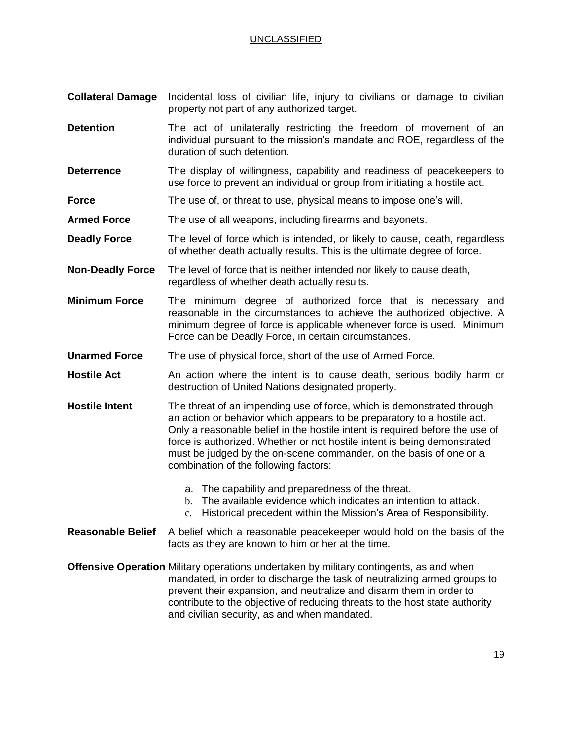- **Collateral Damage** Incidental loss of civilian life, injury to civilians or damage to civilian property not part of any authorized target.
- **Detention** The act of unilaterally restricting the freedom of movement of an individual pursuant to the mission's mandate and ROE, regardless of the duration of such detention.
- **Deterrence** The display of willingness, capability and readiness of peacekeepers to use force to prevent an individual or group from initiating a hostile act.
- **Force** The use of, or threat to use, physical means to impose one's will.
- **Armed Force** The use of all weapons, including firearms and bayonets.
- **Deadly Force** The level of force which is intended, or likely to cause, death, regardless of whether death actually results. This is the ultimate degree of force.
- **Non-Deadly Force** The level of force that is neither intended nor likely to cause death, regardless of whether death actually results.
- **Minimum Force** The minimum degree of authorized force that is necessary and reasonable in the circumstances to achieve the authorized objective. A minimum degree of force is applicable whenever force is used. Minimum Force can be Deadly Force, in certain circumstances.
- **Unarmed Force** The use of physical force, short of the use of Armed Force.
- **Hostile Act** An action where the intent is to cause death, serious bodily harm or destruction of United Nations designated property.
- **Hostile Intent** The threat of an impending use of force, which is demonstrated through an action or behavior which appears to be preparatory to a hostile act. Only a reasonable belief in the hostile intent is required before the use of force is authorized. Whether or not hostile intent is being demonstrated must be judged by the on-scene commander, on the basis of one or a combination of the following factors:
	- a. The capability and preparedness of the threat.
	- b. The available evidence which indicates an intention to attack.
	- c. Historical precedent within the Mission's Area of Responsibility.

#### **Reasonable Belief** A belief which a reasonable peacekeeper would hold on the basis of the facts as they are known to him or her at the time.

**Offensive Operation** Military operations undertaken by military contingents, as and when mandated, in order to discharge the task of neutralizing armed groups to prevent their expansion, and neutralize and disarm them in order to contribute to the objective of reducing threats to the host state authority and civilian security, as and when mandated.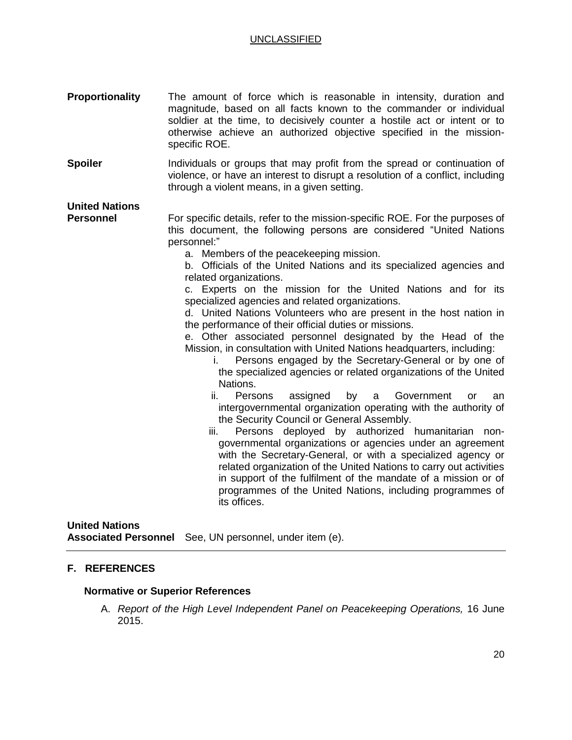| <b>Proportionality</b>                    | The amount of force which is reasonable in intensity, duration and<br>magnitude, based on all facts known to the commander or individual<br>soldier at the time, to decisively counter a hostile act or intent or to<br>otherwise achieve an authorized objective specified in the mission-<br>specific ROE.                                                                                                                                                                                                                                                                                                                                                                                                                                                                                                                                                                                                                                                                                                                                                                                                                                                                                                                                                                                                                                                                                                                                             |  |
|-------------------------------------------|----------------------------------------------------------------------------------------------------------------------------------------------------------------------------------------------------------------------------------------------------------------------------------------------------------------------------------------------------------------------------------------------------------------------------------------------------------------------------------------------------------------------------------------------------------------------------------------------------------------------------------------------------------------------------------------------------------------------------------------------------------------------------------------------------------------------------------------------------------------------------------------------------------------------------------------------------------------------------------------------------------------------------------------------------------------------------------------------------------------------------------------------------------------------------------------------------------------------------------------------------------------------------------------------------------------------------------------------------------------------------------------------------------------------------------------------------------|--|
| <b>Spoiler</b>                            | Individuals or groups that may profit from the spread or continuation of<br>violence, or have an interest to disrupt a resolution of a conflict, including<br>through a violent means, in a given setting.                                                                                                                                                                                                                                                                                                                                                                                                                                                                                                                                                                                                                                                                                                                                                                                                                                                                                                                                                                                                                                                                                                                                                                                                                                               |  |
| <b>United Nations</b><br><b>Personnel</b> | For specific details, refer to the mission-specific ROE. For the purposes of<br>this document, the following persons are considered "United Nations<br>personnel:"<br>a. Members of the peacekeeping mission.<br>b. Officials of the United Nations and its specialized agencies and<br>related organizations.<br>c. Experts on the mission for the United Nations and for its<br>specialized agencies and related organizations.<br>d. United Nations Volunteers who are present in the host nation in<br>the performance of their official duties or missions.<br>e. Other associated personnel designated by the Head of the<br>Mission, in consultation with United Nations headquarters, including:<br>Persons engaged by the Secretary-General or by one of<br>Ĺ.<br>the specialized agencies or related organizations of the United<br>Nations.<br>ii.<br>by<br>Persons<br>assigned<br>Government<br>a<br>or<br>an<br>intergovernmental organization operating with the authority of<br>the Security Council or General Assembly.<br>Persons deployed by authorized humanitarian<br>iii.<br>non-<br>governmental organizations or agencies under an agreement<br>with the Secretary-General, or with a specialized agency or<br>related organization of the United Nations to carry out activities<br>in support of the fulfilment of the mandate of a mission or of<br>programmes of the United Nations, including programmes of<br>its offices. |  |

# **United Nations**

**Associated Personnel** See, UN personnel, under item (e).

## **F. REFERENCES**

# **Normative or Superior References**

A. *Report of the High Level Independent Panel on Peacekeeping Operations,* 16 June 2015.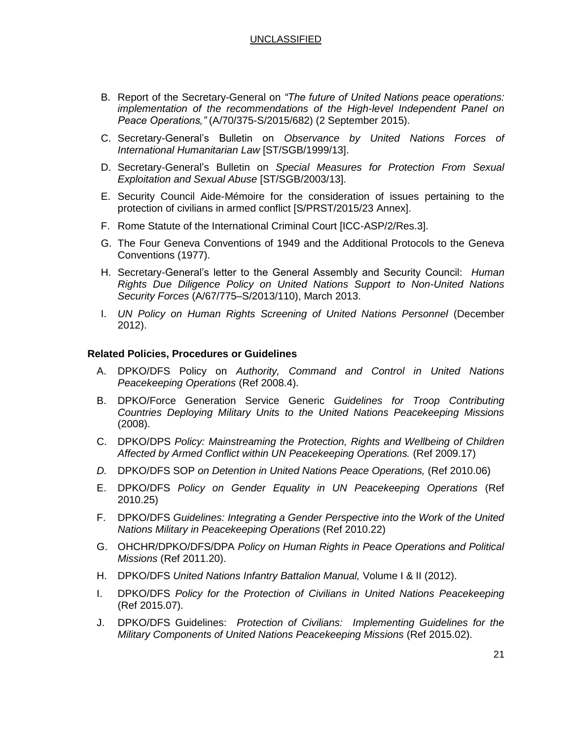- B. Report of the Secretary-General on *"The future of United Nations peace operations: implementation of the recommendations of the High-level Independent Panel on Peace Operations,"* (A/70/375-S/2015/682) (2 September 2015).
- C. Secretary-General's Bulletin on *Observance by United Nations Forces of International Humanitarian Law* [ST/SGB/1999/13].
- D. Secretary-General's Bulletin on *Special Measures for Protection From Sexual Exploitation and Sexual Abuse* [ST/SGB/2003/13].
- E. Security Council Aide-Mémoire for the consideration of issues pertaining to the protection of civilians in armed conflict [S/PRST/2015/23 Annex].
- F. Rome Statute of the International Criminal Court [ICC-ASP/2/Res.3].
- G. The Four Geneva Conventions of 1949 and the Additional Protocols to the Geneva Conventions (1977).
- H. Secretary-General's letter to the General Assembly and Security Council: *Human Rights Due Diligence Policy on United Nations Support to Non-United Nations Security Forces* (A/67/775–S/2013/110), March 2013.
- I. *UN Policy on Human Rights Screening of United Nations Personnel* (December 2012).

#### **Related Policies, Procedures or Guidelines**

- A. DPKO/DFS Policy on *Authority, Command and Control in United Nations Peacekeeping Operations* (Ref 2008.4).
- B. DPKO/Force Generation Service Generic *Guidelines for Troop Contributing Countries Deploying Military Units to the United Nations Peacekeeping Missions* (2008).
- C. DPKO/DPS *Policy: Mainstreaming the Protection, Rights and Wellbeing of Children Affected by Armed Conflict within UN Peacekeeping Operations.* (Ref 2009.17)
- *D.* DPKO/DFS SOP *on Detention in United Nations Peace Operations,* (Ref 2010.06)
- E. DPKO/DFS *Policy on Gender Equality in UN Peacekeeping Operations* (Ref 2010.25)
- F. DPKO/DFS *Guidelines: Integrating a Gender Perspective into the Work of the United Nations Military in Peacekeeping Operations* (Ref 2010.22)
- G. OHCHR/DPKO/DFS/DPA *Policy on Human Rights in Peace Operations and Political Missions* (Ref 2011.20).
- H. DPKO/DFS *United Nations Infantry Battalion Manual,* Volume I & II (2012).
- I. DPKO/DFS *Policy for the Protection of Civilians in United Nations Peacekeeping* (Ref 2015.07).
- J. DPKO/DFS Guidelines: *Protection of Civilians: Implementing Guidelines for the Military Components of United Nations Peacekeeping Missions* (Ref 2015.02).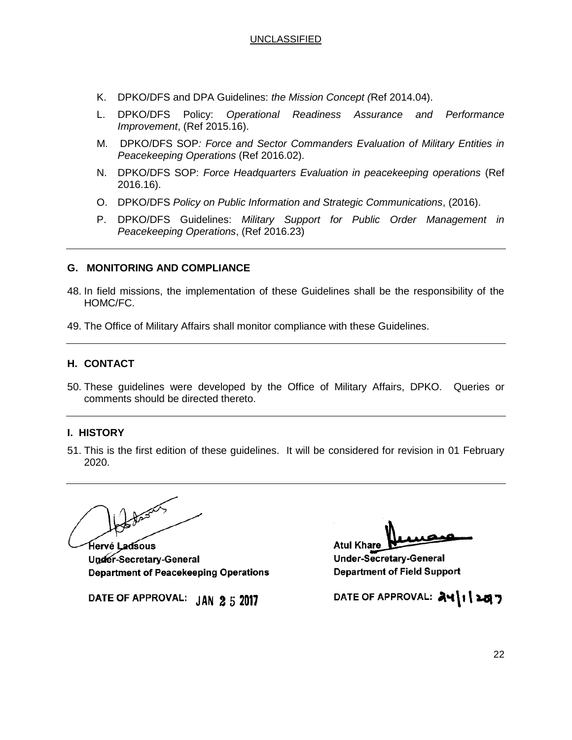- K. DPKO/DFS and DPA Guidelines: *the Mission Concept (*Ref 2014.04).
- L. DPKO/DFS Policy: *Operational Readiness Assurance and Performance Improvement*, (Ref 2015.16).
- M. DPKO/DFS SOP*: Force and Sector Commanders Evaluation of Military Entities in Peacekeeping Operations* (Ref 2016.02).
- N. DPKO/DFS SOP: *Force Headquarters Evaluation in peacekeeping operations* (Ref 2016.16).
- O. DPKO/DFS *Policy on Public Information and Strategic Communications*, (2016).
- P. DPKO/DFS Guidelines: *Military Support for Public Order Management in Peacekeeping Operations*, (Ref 2016.23)

#### **G. MONITORING AND COMPLIANCE**

- 48. In field missions, the implementation of these Guidelines shall be the responsibility of the HOMC/FC.
- 49. The Office of Military Affairs shall monitor compliance with these Guidelines.

## **H. CONTACT**

50. These guidelines were developed by the Office of Military Affairs, DPKO. Queries or comments should be directed thereto.

#### **I. HISTORY**

51. This is the first edition of these guidelines. It will be considered for revision in 01 February 2020.

Hervé Ladsous

Under-Secretary-General **Department of Peacekeeping Operations** 

DATE OF APPROVAL: JAN 2 5 2017

**Atul Khare** 

Under-Secretary-General **Department of Field Support** 

DATE OF APPROVAL:  $\partial \mathcal{A}$  | | | 20 7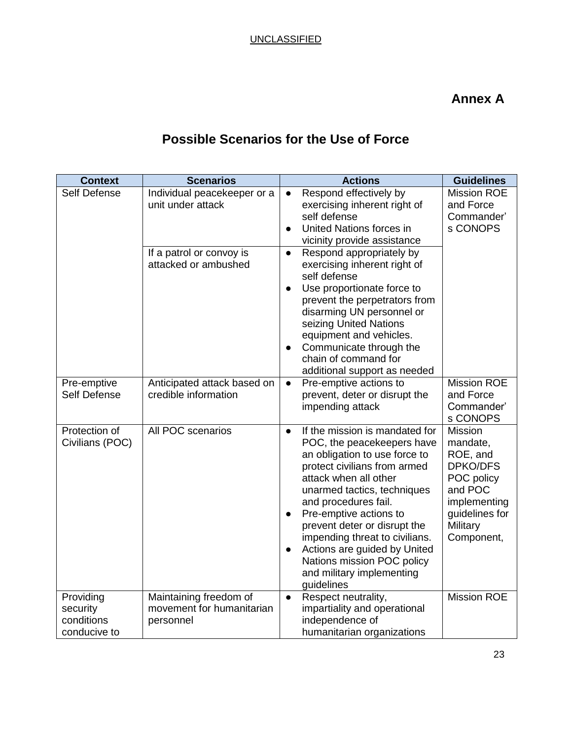# **Annex A**

# **Possible Scenarios for the Use of Force**

| <b>Context</b>                                      | <b>Scenarios</b>                                                                                     | <b>Actions</b>                                                                                                                                                                                                                                                                                                                                                                                                                                                                                                     | <b>Guidelines</b>                                                                                                                |
|-----------------------------------------------------|------------------------------------------------------------------------------------------------------|--------------------------------------------------------------------------------------------------------------------------------------------------------------------------------------------------------------------------------------------------------------------------------------------------------------------------------------------------------------------------------------------------------------------------------------------------------------------------------------------------------------------|----------------------------------------------------------------------------------------------------------------------------------|
| Self Defense                                        | Individual peacekeeper or a<br>unit under attack<br>If a patrol or convoy is<br>attacked or ambushed | Respond effectively by<br>$\bullet$<br>exercising inherent right of<br>self defense<br>United Nations forces in<br>$\bullet$<br>vicinity provide assistance<br>Respond appropriately by<br>$\bullet$<br>exercising inherent right of<br>self defense<br>Use proportionate force to<br>$\bullet$<br>prevent the perpetrators from<br>disarming UN personnel or<br>seizing United Nations<br>equipment and vehicles.<br>Communicate through the<br>$\bullet$<br>chain of command for<br>additional support as needed | <b>Mission ROE</b><br>and Force<br>Commander'<br>s CONOPS                                                                        |
| Pre-emptive<br>Self Defense                         | Anticipated attack based on<br>credible information                                                  | Pre-emptive actions to<br>$\bullet$<br>prevent, deter or disrupt the<br>impending attack                                                                                                                                                                                                                                                                                                                                                                                                                           | <b>Mission ROE</b><br>and Force<br>Commander'<br>s CONOPS                                                                        |
| Protection of<br>Civilians (POC)                    | All POC scenarios                                                                                    | If the mission is mandated for<br>$\bullet$<br>POC, the peacekeepers have<br>an obligation to use force to<br>protect civilians from armed<br>attack when all other<br>unarmed tactics, techniques<br>and procedures fail.<br>Pre-emptive actions to<br>$\bullet$<br>prevent deter or disrupt the<br>impending threat to civilians.<br>Actions are guided by United<br>$\bullet$<br>Nations mission POC policy<br>and military implementing<br>guidelines                                                          | Mission<br>mandate,<br>ROE, and<br>DPKO/DFS<br>POC policy<br>and POC<br>implementing<br>guidelines for<br>Military<br>Component, |
| Providing<br>security<br>conditions<br>conducive to | Maintaining freedom of<br>movement for humanitarian<br>personnel                                     | Respect neutrality,<br>$\bullet$<br>impartiality and operational<br>independence of<br>humanitarian organizations                                                                                                                                                                                                                                                                                                                                                                                                  | <b>Mission ROE</b>                                                                                                               |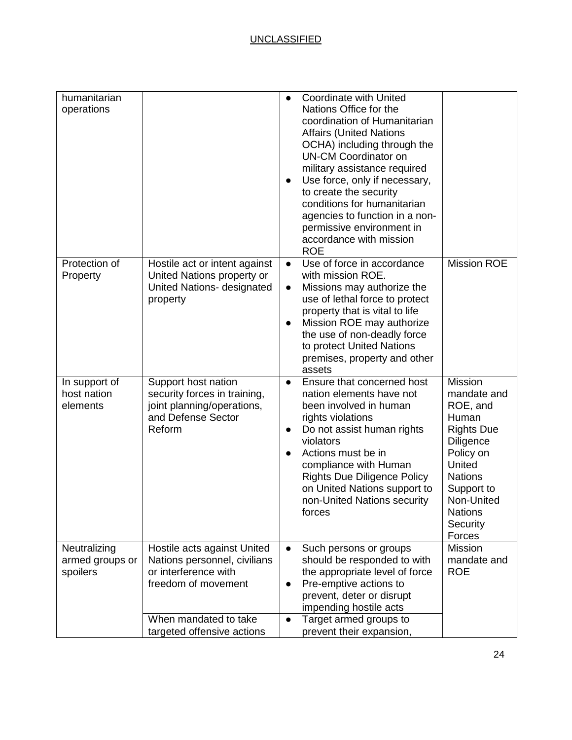| humanitarian<br>operations                  |                                                                                                                                                                   | <b>Coordinate with United</b><br>Nations Office for the<br>coordination of Humanitarian<br><b>Affairs (United Nations</b><br>OCHA) including through the<br><b>UN-CM Coordinator on</b><br>military assistance required<br>Use force, only if necessary,<br>to create the security<br>conditions for humanitarian<br>agencies to function in a non-<br>permissive environment in<br>accordance with mission<br><b>ROE</b> |                                                                                                                                                                                            |
|---------------------------------------------|-------------------------------------------------------------------------------------------------------------------------------------------------------------------|---------------------------------------------------------------------------------------------------------------------------------------------------------------------------------------------------------------------------------------------------------------------------------------------------------------------------------------------------------------------------------------------------------------------------|--------------------------------------------------------------------------------------------------------------------------------------------------------------------------------------------|
| Protection of<br>Property                   | Hostile act or intent against<br>United Nations property or<br>United Nations- designated<br>property                                                             | Use of force in accordance<br>$\bullet$<br>with mission ROE.<br>Missions may authorize the<br>$\bullet$<br>use of lethal force to protect<br>property that is vital to life<br>Mission ROE may authorize<br>$\bullet$<br>the use of non-deadly force<br>to protect United Nations<br>premises, property and other<br>assets                                                                                               | <b>Mission ROE</b>                                                                                                                                                                         |
| In support of<br>host nation<br>elements    | Support host nation<br>security forces in training,<br>joint planning/operations,<br>and Defense Sector<br>Reform                                                 | Ensure that concerned host<br>$\bullet$<br>nation elements have not<br>been involved in human<br>rights violations<br>Do not assist human rights<br>$\bullet$<br>violators<br>Actions must be in<br>compliance with Human<br><b>Rights Due Diligence Policy</b><br>on United Nations support to<br>non-United Nations security<br>forces                                                                                  | Mission<br>mandate and<br>ROE, and<br>Human<br><b>Rights Due</b><br>Diligence<br>Policy on<br>United<br><b>Nations</b><br>Support to<br>Non-United<br><b>Nations</b><br>Security<br>Forces |
| Neutralizing<br>armed groups or<br>spoilers | Hostile acts against United<br>Nations personnel, civilians<br>or interference with<br>freedom of movement<br>When mandated to take<br>targeted offensive actions | Such persons or groups<br>$\bullet$<br>should be responded to with<br>the appropriate level of force<br>Pre-emptive actions to<br>prevent, deter or disrupt<br>impending hostile acts<br>Target armed groups to<br>$\bullet$<br>prevent their expansion,                                                                                                                                                                  | <b>Mission</b><br>mandate and<br><b>ROE</b>                                                                                                                                                |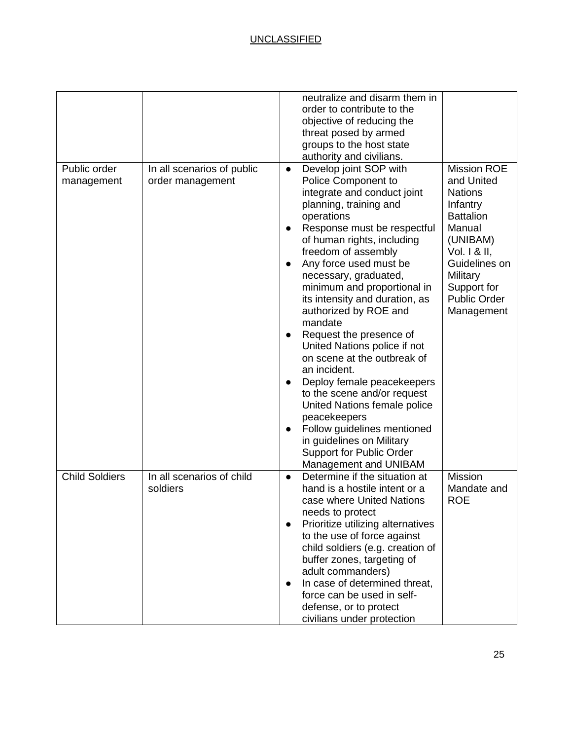|                            |                                                | neutralize and disarm them in                                               |                                  |
|----------------------------|------------------------------------------------|-----------------------------------------------------------------------------|----------------------------------|
|                            |                                                | order to contribute to the                                                  |                                  |
|                            |                                                | objective of reducing the                                                   |                                  |
|                            |                                                | threat posed by armed                                                       |                                  |
|                            |                                                | groups to the host state                                                    |                                  |
|                            |                                                | authority and civilians.                                                    |                                  |
| Public order<br>management | In all scenarios of public<br>order management | Develop joint SOP with<br>$\bullet$<br>Police Component to                  | <b>Mission ROE</b><br>and United |
|                            |                                                | integrate and conduct joint<br>planning, training and                       | <b>Nations</b><br>Infantry       |
|                            |                                                | operations                                                                  | <b>Battalion</b>                 |
|                            |                                                | Response must be respectful                                                 | Manual                           |
|                            |                                                | of human rights, including<br>freedom of assembly                           | (UNIBAM)<br>Vol. 1 & II,         |
|                            |                                                | Any force used must be                                                      | Guidelines on                    |
|                            |                                                | necessary, graduated,                                                       | Military                         |
|                            |                                                | minimum and proportional in                                                 | Support for                      |
|                            |                                                | its intensity and duration, as                                              | Public Order                     |
|                            |                                                | authorized by ROE and                                                       | Management                       |
|                            |                                                | mandate                                                                     |                                  |
|                            |                                                | Request the presence of<br>$\bullet$                                        |                                  |
|                            |                                                | United Nations police if not<br>on scene at the outbreak of                 |                                  |
|                            |                                                | an incident.                                                                |                                  |
|                            |                                                | Deploy female peacekeepers                                                  |                                  |
|                            |                                                | to the scene and/or request<br>United Nations female police                 |                                  |
|                            |                                                | peacekeepers                                                                |                                  |
|                            |                                                | Follow guidelines mentioned                                                 |                                  |
|                            |                                                | in guidelines on Military                                                   |                                  |
|                            |                                                | <b>Support for Public Order</b>                                             |                                  |
|                            |                                                | Management and UNIBAM                                                       |                                  |
| <b>Child Soldiers</b>      | In all scenarios of child<br>soldiers          | Determine if the situation at<br>$\bullet$<br>hand is a hostile intent or a | Mission<br>Mandate and           |
|                            |                                                | case where United Nations                                                   | <b>ROE</b>                       |
|                            |                                                | needs to protect                                                            |                                  |
|                            |                                                | Prioritize utilizing alternatives                                           |                                  |
|                            |                                                | to the use of force against                                                 |                                  |
|                            |                                                | child soldiers (e.g. creation of                                            |                                  |
|                            |                                                | buffer zones, targeting of                                                  |                                  |
|                            |                                                | adult commanders)                                                           |                                  |
|                            |                                                | In case of determined threat,<br>$\bullet$                                  |                                  |
|                            |                                                | force can be used in self-                                                  |                                  |
|                            |                                                | defense, or to protect                                                      |                                  |
|                            |                                                | civilians under protection                                                  |                                  |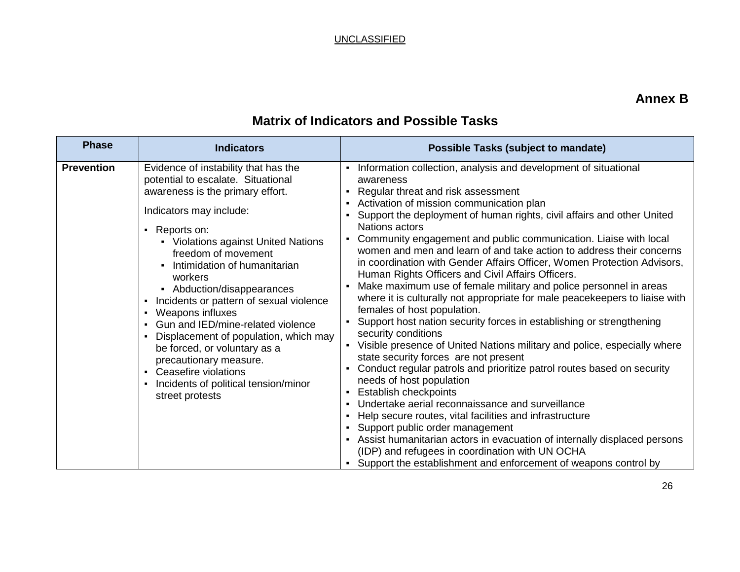# **Annex B**

| <b>Phase</b>      | <b>Indicators</b>                                                                                                                                                                                                                                                                                                                                                                                                                                                                                                                                                                                                                                                                                          | <b>Possible Tasks (subject to mandate)</b>                                                                                                                                                                                                                                                                                                                                                                                                                                                                                                                                                                                                                                                                                                                                                                                                                                                                                                                                                                                                                                                                                                                                                                                                                                                                                                                                                                                                                        |
|-------------------|------------------------------------------------------------------------------------------------------------------------------------------------------------------------------------------------------------------------------------------------------------------------------------------------------------------------------------------------------------------------------------------------------------------------------------------------------------------------------------------------------------------------------------------------------------------------------------------------------------------------------------------------------------------------------------------------------------|-------------------------------------------------------------------------------------------------------------------------------------------------------------------------------------------------------------------------------------------------------------------------------------------------------------------------------------------------------------------------------------------------------------------------------------------------------------------------------------------------------------------------------------------------------------------------------------------------------------------------------------------------------------------------------------------------------------------------------------------------------------------------------------------------------------------------------------------------------------------------------------------------------------------------------------------------------------------------------------------------------------------------------------------------------------------------------------------------------------------------------------------------------------------------------------------------------------------------------------------------------------------------------------------------------------------------------------------------------------------------------------------------------------------------------------------------------------------|
| <b>Prevention</b> | Evidence of instability that has the<br>potential to escalate. Situational<br>awareness is the primary effort.<br>Indicators may include:<br>Reports on:<br>$\blacksquare$<br>• Violations against United Nations<br>freedom of movement<br>Intimidation of humanitarian<br>$\blacksquare$<br>workers<br>• Abduction/disappearances<br>Incidents or pattern of sexual violence<br>$\blacksquare$<br>Weapons influxes<br>٠<br>Gun and IED/mine-related violence<br>$\blacksquare$<br>Displacement of population, which may<br>$\blacksquare$<br>be forced, or voluntary as a<br>precautionary measure.<br>Ceasefire violations<br>$\blacksquare$<br>Incidents of political tension/minor<br>street protests | Information collection, analysis and development of situational<br>awareness<br>Regular threat and risk assessment<br>- Activation of mission communication plan<br>Support the deployment of human rights, civil affairs and other United<br><b>Nations actors</b><br>Community engagement and public communication. Liaise with local<br>$\blacksquare$<br>women and men and learn of and take action to address their concerns<br>in coordination with Gender Affairs Officer, Women Protection Advisors,<br>Human Rights Officers and Civil Affairs Officers.<br>Make maximum use of female military and police personnel in areas<br>where it is culturally not appropriate for male peacekeepers to liaise with<br>females of host population.<br>Support host nation security forces in establishing or strengthening<br>security conditions<br>• Visible presence of United Nations military and police, especially where<br>state security forces are not present<br>Conduct regular patrols and prioritize patrol routes based on security<br>needs of host population<br>Establish checkpoints<br>Undertake aerial reconnaissance and surveillance<br>Help secure routes, vital facilities and infrastructure<br>Support public order management<br>- Assist humanitarian actors in evacuation of internally displaced persons<br>(IDP) and refugees in coordination with UN OCHA<br>• Support the establishment and enforcement of weapons control by |

# **Matrix of Indicators and Possible Tasks**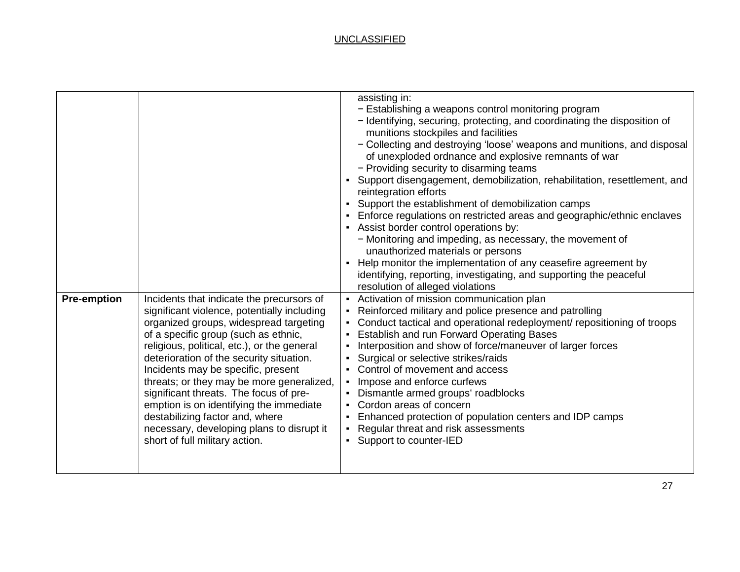| <b>Pre-emption</b> | Incidents that indicate the precursors of<br>significant violence, potentially including | assisting in:<br>- Establishing a weapons control monitoring program<br>- Identifying, securing, protecting, and coordinating the disposition of<br>munitions stockpiles and facilities<br>- Collecting and destroying 'loose' weapons and munitions, and disposal<br>of unexploded ordnance and explosive remnants of war<br>- Providing security to disarming teams<br>Support disengagement, demobilization, rehabilitation, resettlement, and<br>reintegration efforts<br>• Support the establishment of demobilization camps<br>- Enforce regulations on restricted areas and geographic/ethnic enclaves<br>- Assist border control operations by:<br>- Monitoring and impeding, as necessary, the movement of<br>unauthorized materials or persons<br>Help monitor the implementation of any ceasefire agreement by<br>identifying, reporting, investigating, and supporting the peaceful<br>resolution of alleged violations<br>- Activation of mission communication plan<br>Reinforced military and police presence and patrolling |
|--------------------|------------------------------------------------------------------------------------------|---------------------------------------------------------------------------------------------------------------------------------------------------------------------------------------------------------------------------------------------------------------------------------------------------------------------------------------------------------------------------------------------------------------------------------------------------------------------------------------------------------------------------------------------------------------------------------------------------------------------------------------------------------------------------------------------------------------------------------------------------------------------------------------------------------------------------------------------------------------------------------------------------------------------------------------------------------------------------------------------------------------------------------------------|
|                    | organized groups, widespread targeting                                                   | Conduct tactical and operational redeployment/ repositioning of troops                                                                                                                                                                                                                                                                                                                                                                                                                                                                                                                                                                                                                                                                                                                                                                                                                                                                                                                                                                      |
|                    | of a specific group (such as ethnic,                                                     | <b>Establish and run Forward Operating Bases</b>                                                                                                                                                                                                                                                                                                                                                                                                                                                                                                                                                                                                                                                                                                                                                                                                                                                                                                                                                                                            |
|                    | religious, political, etc.), or the general                                              | Interposition and show of force/maneuver of larger forces                                                                                                                                                                                                                                                                                                                                                                                                                                                                                                                                                                                                                                                                                                                                                                                                                                                                                                                                                                                   |
|                    | deterioration of the security situation.<br>Incidents may be specific, present           | Surgical or selective strikes/raids<br>Control of movement and access                                                                                                                                                                                                                                                                                                                                                                                                                                                                                                                                                                                                                                                                                                                                                                                                                                                                                                                                                                       |
|                    | threats; or they may be more generalized,                                                | • Impose and enforce curfews                                                                                                                                                                                                                                                                                                                                                                                                                                                                                                                                                                                                                                                                                                                                                                                                                                                                                                                                                                                                                |
|                    | significant threats. The focus of pre-                                                   | Dismantle armed groups' roadblocks                                                                                                                                                                                                                                                                                                                                                                                                                                                                                                                                                                                                                                                                                                                                                                                                                                                                                                                                                                                                          |
|                    | emption is on identifying the immediate                                                  | Cordon areas of concern                                                                                                                                                                                                                                                                                                                                                                                                                                                                                                                                                                                                                                                                                                                                                                                                                                                                                                                                                                                                                     |
|                    | destabilizing factor and, where                                                          | Enhanced protection of population centers and IDP camps                                                                                                                                                                                                                                                                                                                                                                                                                                                                                                                                                                                                                                                                                                                                                                                                                                                                                                                                                                                     |
|                    | necessary, developing plans to disrupt it                                                | Regular threat and risk assessments                                                                                                                                                                                                                                                                                                                                                                                                                                                                                                                                                                                                                                                                                                                                                                                                                                                                                                                                                                                                         |
|                    | short of full military action.                                                           | Support to counter-IED                                                                                                                                                                                                                                                                                                                                                                                                                                                                                                                                                                                                                                                                                                                                                                                                                                                                                                                                                                                                                      |
|                    |                                                                                          |                                                                                                                                                                                                                                                                                                                                                                                                                                                                                                                                                                                                                                                                                                                                                                                                                                                                                                                                                                                                                                             |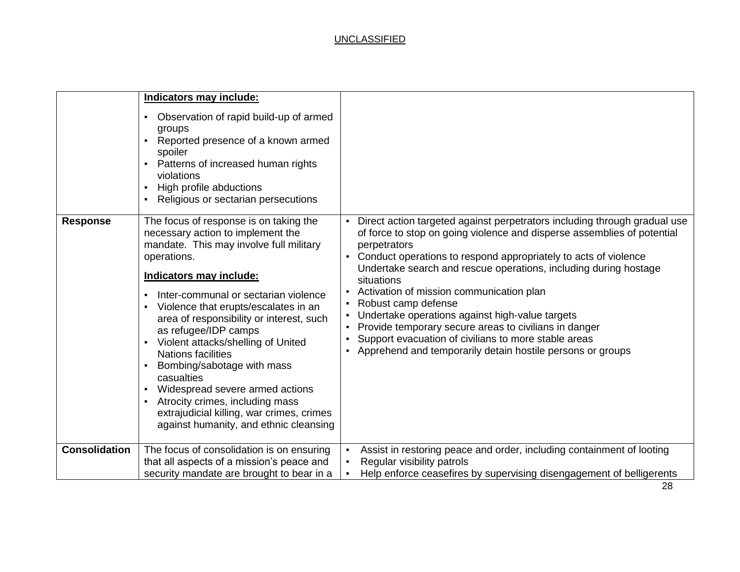|                      | Indicators may include:<br>Observation of rapid build-up of armed<br>٠<br>groups<br>Reported presence of a known armed<br>spoiler<br>Patterns of increased human rights<br>violations<br>High profile abductions<br>Religious or sectarian persecutions                                                                                                                                                                                                                                                                                                                                          |                                                                                                                                                                                                                                                                                                                                                                                                                                                                                                                                                                                                                                  |
|----------------------|--------------------------------------------------------------------------------------------------------------------------------------------------------------------------------------------------------------------------------------------------------------------------------------------------------------------------------------------------------------------------------------------------------------------------------------------------------------------------------------------------------------------------------------------------------------------------------------------------|----------------------------------------------------------------------------------------------------------------------------------------------------------------------------------------------------------------------------------------------------------------------------------------------------------------------------------------------------------------------------------------------------------------------------------------------------------------------------------------------------------------------------------------------------------------------------------------------------------------------------------|
| <b>Response</b>      | The focus of response is on taking the<br>necessary action to implement the<br>mandate. This may involve full military<br>operations.<br>Indicators may include:<br>Inter-communal or sectarian violence<br>Violence that erupts/escalates in an<br>area of responsibility or interest, such<br>as refugee/IDP camps<br>Violent attacks/shelling of United<br><b>Nations facilities</b><br>Bombing/sabotage with mass<br>casualties<br>Widespread severe armed actions<br>Atrocity crimes, including mass<br>extrajudicial killing, war crimes, crimes<br>against humanity, and ethnic cleansing | - Direct action targeted against perpetrators including through gradual use<br>of force to stop on going violence and disperse assemblies of potential<br>perpetrators<br>Conduct operations to respond appropriately to acts of violence<br>Undertake search and rescue operations, including during hostage<br>situations<br>Activation of mission communication plan<br>Robust camp defense<br>Undertake operations against high-value targets<br>Provide temporary secure areas to civilians in danger<br>Support evacuation of civilians to more stable areas<br>Apprehend and temporarily detain hostile persons or groups |
| <b>Consolidation</b> | The focus of consolidation is on ensuring<br>that all aspects of a mission's peace and<br>security mandate are brought to bear in a                                                                                                                                                                                                                                                                                                                                                                                                                                                              | Assist in restoring peace and order, including containment of looting<br>Regular visibility patrols<br>Help enforce ceasefires by supervising disengagement of belligerents                                                                                                                                                                                                                                                                                                                                                                                                                                                      |